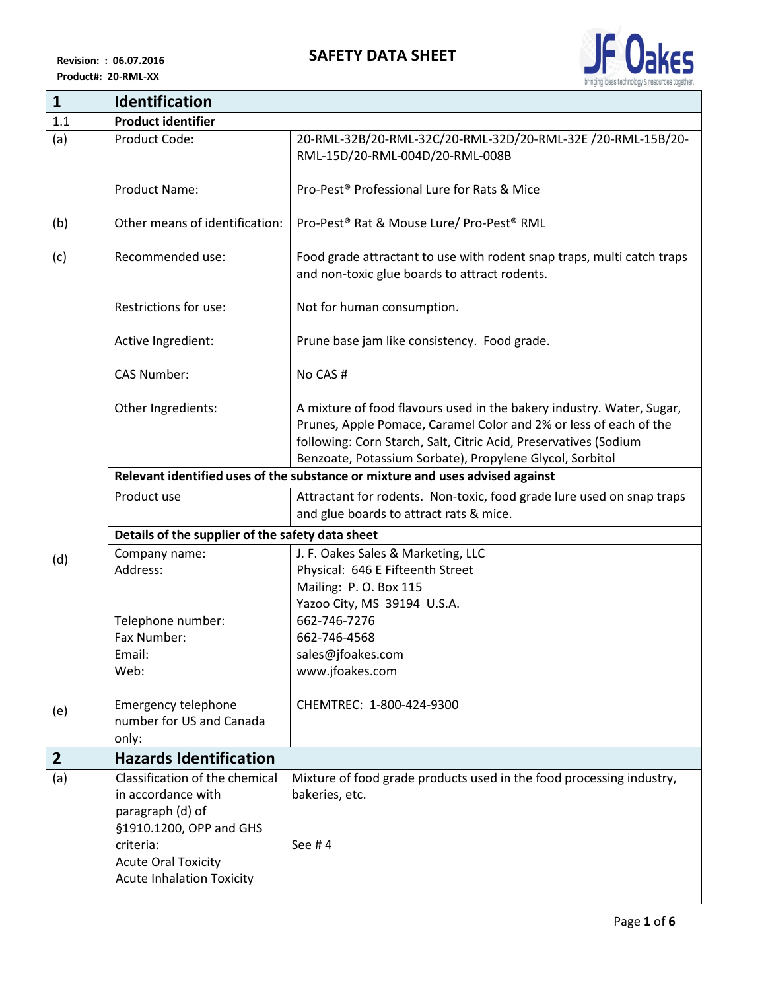

| $\mathbf{1}$                                                                  | Identification                                                              |                                                                                                                                                                                                                                                                            |  |
|-------------------------------------------------------------------------------|-----------------------------------------------------------------------------|----------------------------------------------------------------------------------------------------------------------------------------------------------------------------------------------------------------------------------------------------------------------------|--|
| 1.1                                                                           | <b>Product identifier</b>                                                   |                                                                                                                                                                                                                                                                            |  |
| (a)                                                                           | Product Code:                                                               | 20-RML-32B/20-RML-32C/20-RML-32D/20-RML-32E /20-RML-15B/20-<br>RML-15D/20-RML-004D/20-RML-008B                                                                                                                                                                             |  |
|                                                                               | <b>Product Name:</b>                                                        | Pro-Pest <sup>®</sup> Professional Lure for Rats & Mice                                                                                                                                                                                                                    |  |
| (b)                                                                           | Other means of identification:                                              | Pro-Pest <sup>®</sup> Rat & Mouse Lure/ Pro-Pest <sup>®</sup> RML                                                                                                                                                                                                          |  |
| (c)                                                                           | Recommended use:                                                            | Food grade attractant to use with rodent snap traps, multi catch traps<br>and non-toxic glue boards to attract rodents.                                                                                                                                                    |  |
|                                                                               | Restrictions for use:                                                       | Not for human consumption.                                                                                                                                                                                                                                                 |  |
|                                                                               | Active Ingredient:                                                          | Prune base jam like consistency. Food grade.                                                                                                                                                                                                                               |  |
|                                                                               | <b>CAS Number:</b>                                                          | No CAS#                                                                                                                                                                                                                                                                    |  |
|                                                                               | Other Ingredients:                                                          | A mixture of food flavours used in the bakery industry. Water, Sugar,<br>Prunes, Apple Pomace, Caramel Color and 2% or less of each of the<br>following: Corn Starch, Salt, Citric Acid, Preservatives (Sodium<br>Benzoate, Potassium Sorbate), Propylene Glycol, Sorbitol |  |
| Relevant identified uses of the substance or mixture and uses advised against |                                                                             |                                                                                                                                                                                                                                                                            |  |
|                                                                               | Product use                                                                 | Attractant for rodents. Non-toxic, food grade lure used on snap traps<br>and glue boards to attract rats & mice.                                                                                                                                                           |  |
|                                                                               | Details of the supplier of the safety data sheet                            |                                                                                                                                                                                                                                                                            |  |
| (d)                                                                           | Company name:<br>Address:                                                   | J. F. Oakes Sales & Marketing, LLC<br>Physical: 646 E Fifteenth Street<br>Mailing: P.O. Box 115                                                                                                                                                                            |  |
|                                                                               | Telephone number:                                                           | Yazoo City, MS 39194 U.S.A.<br>662-746-7276                                                                                                                                                                                                                                |  |
|                                                                               | Fax Number:                                                                 | 662-746-4568                                                                                                                                                                                                                                                               |  |
|                                                                               | Email:                                                                      | sales@jfoakes.com                                                                                                                                                                                                                                                          |  |
|                                                                               | Web:                                                                        | www.jfoakes.com                                                                                                                                                                                                                                                            |  |
| (e)                                                                           | <b>Emergency telephone</b><br>number for US and Canada<br>only:             | CHEMTREC: 1-800-424-9300                                                                                                                                                                                                                                                   |  |
| $\overline{2}$                                                                | <b>Hazards Identification</b>                                               |                                                                                                                                                                                                                                                                            |  |
| (a)                                                                           | Classification of the chemical                                              | Mixture of food grade products used in the food processing industry,                                                                                                                                                                                                       |  |
|                                                                               | in accordance with<br>paragraph (d) of<br>§1910.1200, OPP and GHS           | bakeries, etc.                                                                                                                                                                                                                                                             |  |
|                                                                               | criteria:<br><b>Acute Oral Toxicity</b><br><b>Acute Inhalation Toxicity</b> | See #4                                                                                                                                                                                                                                                                     |  |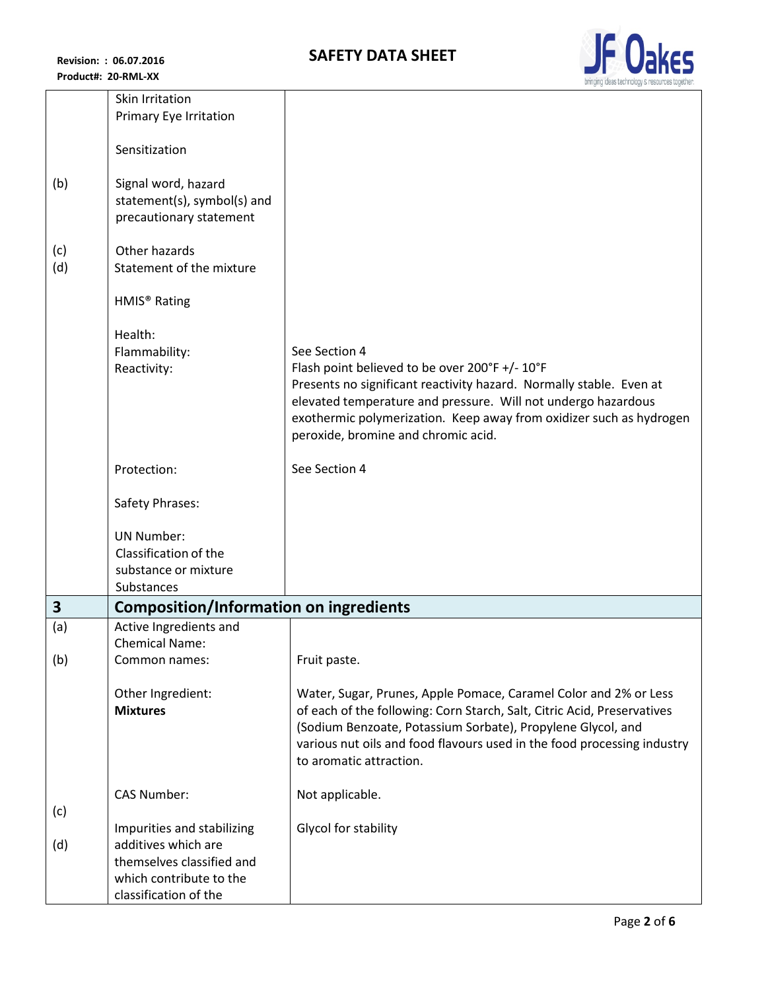

|     | Skin Irritation<br>Primary Eye Irritation              |                                                                                                                                        |  |
|-----|--------------------------------------------------------|----------------------------------------------------------------------------------------------------------------------------------------|--|
|     |                                                        |                                                                                                                                        |  |
|     | Sensitization                                          |                                                                                                                                        |  |
| (b) | Signal word, hazard                                    |                                                                                                                                        |  |
|     | statement(s), symbol(s) and<br>precautionary statement |                                                                                                                                        |  |
| (c) | Other hazards                                          |                                                                                                                                        |  |
| (d) | Statement of the mixture                               |                                                                                                                                        |  |
|     | HMIS <sup>®</sup> Rating                               |                                                                                                                                        |  |
|     | Health:                                                |                                                                                                                                        |  |
|     | Flammability:                                          | See Section 4                                                                                                                          |  |
|     | Reactivity:                                            | Flash point believed to be over 200°F +/- 10°F<br>Presents no significant reactivity hazard. Normally stable. Even at                  |  |
|     |                                                        | elevated temperature and pressure. Will not undergo hazardous                                                                          |  |
|     |                                                        | exothermic polymerization. Keep away from oxidizer such as hydrogen<br>peroxide, bromine and chromic acid.                             |  |
|     | Protection:                                            | See Section 4                                                                                                                          |  |
|     | Safety Phrases:                                        |                                                                                                                                        |  |
|     | <b>UN Number:</b>                                      |                                                                                                                                        |  |
|     | Classification of the                                  |                                                                                                                                        |  |
|     | substance or mixture                                   |                                                                                                                                        |  |
|     | <b>Substances</b>                                      |                                                                                                                                        |  |
| 3   |                                                        | <b>Composition/Information on ingredients</b>                                                                                          |  |
| (a) | Active Ingredients and<br><b>Chemical Name:</b>        |                                                                                                                                        |  |
| (b) | Common names:                                          | Fruit paste.                                                                                                                           |  |
|     | Other Ingredient:                                      | Water, Sugar, Prunes, Apple Pomace, Caramel Color and 2% or Less                                                                       |  |
|     | <b>Mixtures</b>                                        | of each of the following: Corn Starch, Salt, Citric Acid, Preservatives                                                                |  |
|     |                                                        | (Sodium Benzoate, Potassium Sorbate), Propylene Glycol, and<br>various nut oils and food flavours used in the food processing industry |  |
|     |                                                        | to aromatic attraction.                                                                                                                |  |
|     | <b>CAS Number:</b>                                     | Not applicable.                                                                                                                        |  |
| (c) |                                                        |                                                                                                                                        |  |
| (d) | Impurities and stabilizing<br>additives which are      | Glycol for stability                                                                                                                   |  |
|     | themselves classified and                              |                                                                                                                                        |  |
|     | which contribute to the                                |                                                                                                                                        |  |
|     | classification of the                                  |                                                                                                                                        |  |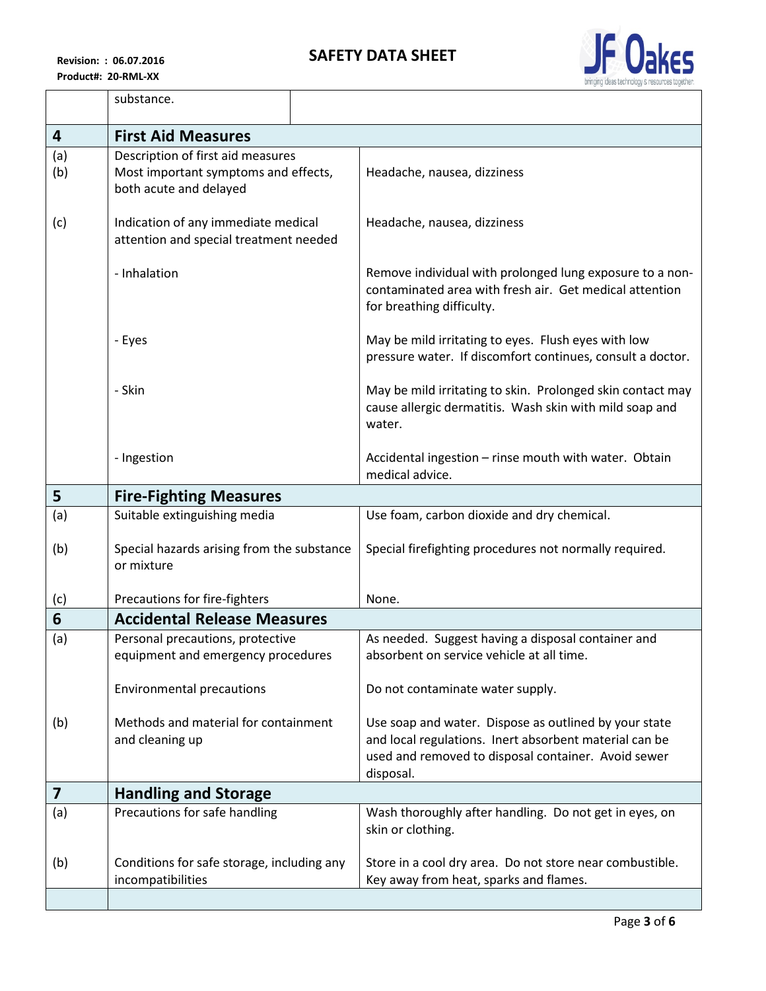

|     | substance.                                                                    |                                                                                                                                                                                     |
|-----|-------------------------------------------------------------------------------|-------------------------------------------------------------------------------------------------------------------------------------------------------------------------------------|
| 4   | <b>First Aid Measures</b>                                                     |                                                                                                                                                                                     |
| (a) | Description of first aid measures                                             |                                                                                                                                                                                     |
| (b) | Most important symptoms and effects,<br>both acute and delayed                | Headache, nausea, dizziness                                                                                                                                                         |
| (c) | Indication of any immediate medical<br>attention and special treatment needed | Headache, nausea, dizziness                                                                                                                                                         |
|     | - Inhalation                                                                  | Remove individual with prolonged lung exposure to a non-<br>contaminated area with fresh air. Get medical attention<br>for breathing difficulty.                                    |
|     | - Eyes                                                                        | May be mild irritating to eyes. Flush eyes with low<br>pressure water. If discomfort continues, consult a doctor.                                                                   |
|     | - Skin                                                                        | May be mild irritating to skin. Prolonged skin contact may<br>cause allergic dermatitis. Wash skin with mild soap and<br>water.                                                     |
|     | - Ingestion                                                                   | Accidental ingestion - rinse mouth with water. Obtain<br>medical advice.                                                                                                            |
| 5   | <b>Fire-Fighting Measures</b>                                                 |                                                                                                                                                                                     |
| (a) | Suitable extinguishing media                                                  | Use foam, carbon dioxide and dry chemical.                                                                                                                                          |
| (b) | Special hazards arising from the substance<br>or mixture                      | Special firefighting procedures not normally required.                                                                                                                              |
| (c) | Precautions for fire-fighters                                                 | None.                                                                                                                                                                               |
| 6   | <b>Accidental Release Measures</b>                                            |                                                                                                                                                                                     |
| (a) | Personal precautions, protective<br>equipment and emergency procedures        | As needed. Suggest having a disposal container and<br>absorbent on service vehicle at all time.                                                                                     |
|     | <b>Environmental precautions</b>                                              | Do not contaminate water supply.                                                                                                                                                    |
| (b) | Methods and material for containment<br>and cleaning up                       | Use soap and water. Dispose as outlined by your state<br>and local regulations. Inert absorbent material can be<br>used and removed to disposal container. Avoid sewer<br>disposal. |
| 7   | <b>Handling and Storage</b>                                                   |                                                                                                                                                                                     |
| (a) | Precautions for safe handling                                                 | Wash thoroughly after handling. Do not get in eyes, on<br>skin or clothing.                                                                                                         |
| (b) | Conditions for safe storage, including any<br>incompatibilities               | Store in a cool dry area. Do not store near combustible.<br>Key away from heat, sparks and flames.                                                                                  |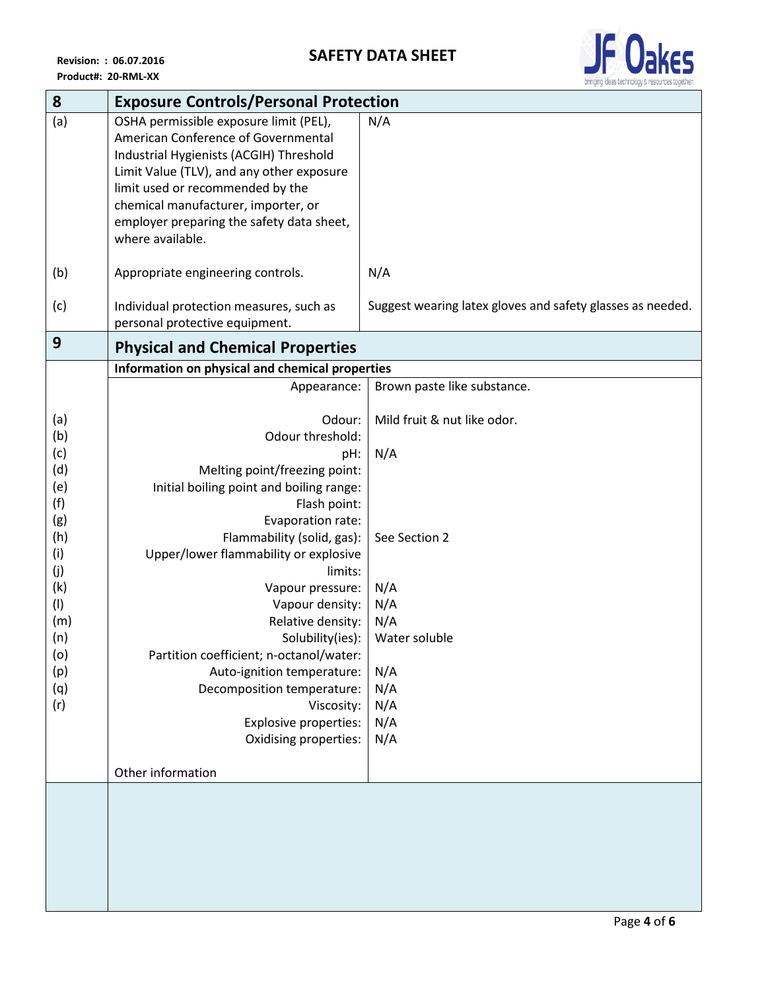

| 8          | <b>Exposure Controls/Personal Protection</b>    |                                                            |  |
|------------|-------------------------------------------------|------------------------------------------------------------|--|
| (a)        | OSHA permissible exposure limit (PEL),          | N/A                                                        |  |
|            | American Conference of Governmental             |                                                            |  |
|            | Industrial Hygienists (ACGIH) Threshold         |                                                            |  |
|            | Limit Value (TLV), and any other exposure       |                                                            |  |
|            | limit used or recommended by the                |                                                            |  |
|            | chemical manufacturer, importer, or             |                                                            |  |
|            | employer preparing the safety data sheet,       |                                                            |  |
|            | where available.                                |                                                            |  |
|            |                                                 |                                                            |  |
| (b)        | Appropriate engineering controls.               | N/A                                                        |  |
| (c)        | Individual protection measures, such as         | Suggest wearing latex gloves and safety glasses as needed. |  |
|            | personal protective equipment.                  |                                                            |  |
| 9          | <b>Physical and Chemical Properties</b>         |                                                            |  |
|            | Information on physical and chemical properties |                                                            |  |
|            | Appearance:                                     | Brown paste like substance.                                |  |
|            |                                                 |                                                            |  |
| (a)        | Odour:                                          | Mild fruit & nut like odor.                                |  |
| (b)        | Odour threshold:                                |                                                            |  |
| (c)        | pH:                                             | N/A                                                        |  |
| (d)        | Melting point/freezing point:                   |                                                            |  |
| (e)        | Initial boiling point and boiling range:        |                                                            |  |
| (f)        | Flash point:                                    |                                                            |  |
| (g)        | Evaporation rate:                               |                                                            |  |
| (h)        | Flammability (solid, gas):                      | See Section 2                                              |  |
| (i)        | Upper/lower flammability or explosive           |                                                            |  |
| (j)        | limits:                                         |                                                            |  |
| (k)        | Vapour pressure:                                | N/A                                                        |  |
| (1)        | Vapour density:                                 | N/A                                                        |  |
| (m)<br>(n) | Relative density:<br>Solubility(ies):           | N/A<br>Water soluble                                       |  |
| (0)        | Partition coefficient; n-octanol/water:         |                                                            |  |
| (p)        | Auto-ignition temperature:                      | N/A                                                        |  |
| (q)        | Decomposition temperature:                      | N/A                                                        |  |
| (r)        | Viscosity:                                      | N/A                                                        |  |
|            | <b>Explosive properties:</b>                    | N/A                                                        |  |
|            | Oxidising properties:                           | N/A                                                        |  |
|            |                                                 |                                                            |  |
|            | Other information                               |                                                            |  |
|            |                                                 |                                                            |  |
|            |                                                 |                                                            |  |
|            |                                                 |                                                            |  |
|            |                                                 |                                                            |  |
|            |                                                 |                                                            |  |
|            |                                                 |                                                            |  |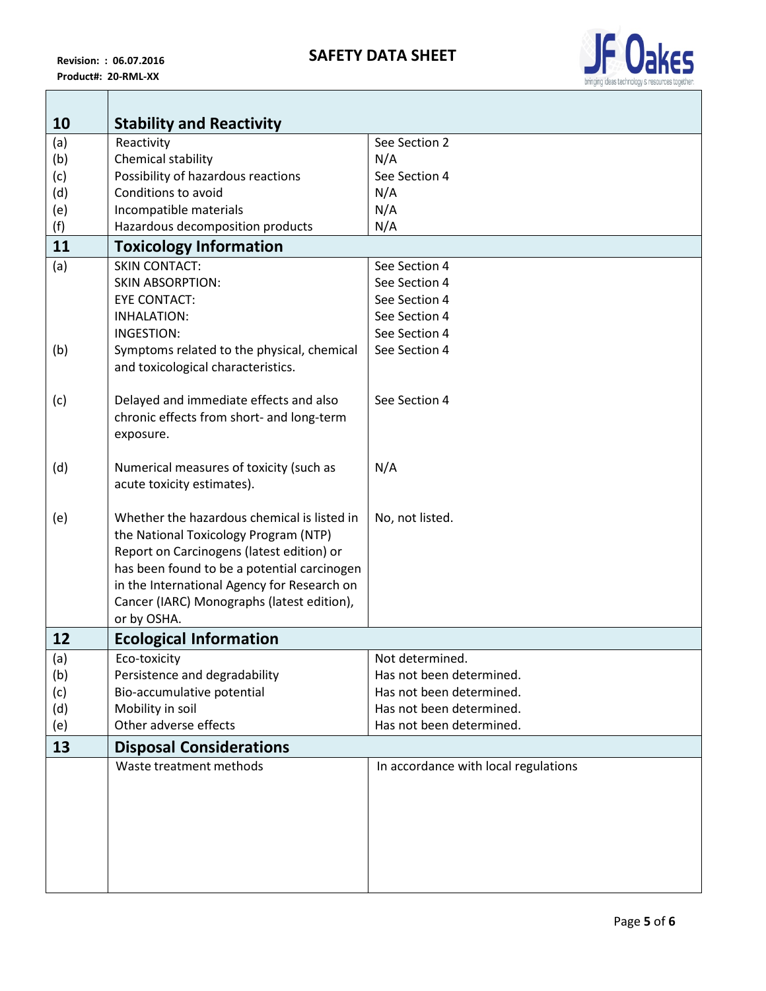**The Common State** 



| 10  | <b>Stability and Reactivity</b>                                                          |                                      |
|-----|------------------------------------------------------------------------------------------|--------------------------------------|
| (a) | Reactivity                                                                               | See Section 2                        |
| (b) | Chemical stability                                                                       | N/A                                  |
| (c) | Possibility of hazardous reactions                                                       | See Section 4                        |
| (d) | Conditions to avoid                                                                      | N/A                                  |
| (e) | Incompatible materials                                                                   | N/A                                  |
| (f) | Hazardous decomposition products                                                         | N/A                                  |
| 11  | <b>Toxicology Information</b>                                                            |                                      |
| (a) | <b>SKIN CONTACT:</b>                                                                     | See Section 4                        |
|     | <b>SKIN ABSORPTION:</b>                                                                  | See Section 4                        |
|     | <b>EYE CONTACT:</b>                                                                      | See Section 4                        |
|     | <b>INHALATION:</b>                                                                       | See Section 4                        |
|     | <b>INGESTION:</b>                                                                        | See Section 4                        |
| (b) | Symptoms related to the physical, chemical                                               | See Section 4                        |
|     | and toxicological characteristics.                                                       |                                      |
| (c) | Delayed and immediate effects and also                                                   | See Section 4                        |
|     | chronic effects from short- and long-term                                                |                                      |
|     | exposure.                                                                                |                                      |
|     |                                                                                          |                                      |
| (d) | Numerical measures of toxicity (such as                                                  | N/A                                  |
|     | acute toxicity estimates).                                                               |                                      |
|     |                                                                                          |                                      |
| (e) | Whether the hazardous chemical is listed in                                              | No, not listed.                      |
|     | the National Toxicology Program (NTP)                                                    |                                      |
|     | Report on Carcinogens (latest edition) or<br>has been found to be a potential carcinogen |                                      |
|     | in the International Agency for Research on                                              |                                      |
|     | Cancer (IARC) Monographs (latest edition),                                               |                                      |
|     | or by OSHA.                                                                              |                                      |
| 12  | <b>Ecological Information</b>                                                            |                                      |
| (a) | Eco-toxicity                                                                             | Not determined.                      |
| (b) | Persistence and degradability                                                            | Has not been determined.             |
| (c) | Bio-accumulative potential                                                               | Has not been determined.             |
| (d) | Mobility in soil                                                                         | Has not been determined.             |
| (e) | Other adverse effects                                                                    | Has not been determined.             |
| 13  | <b>Disposal Considerations</b>                                                           |                                      |
|     | Waste treatment methods                                                                  | In accordance with local regulations |
|     |                                                                                          |                                      |
|     |                                                                                          |                                      |
|     |                                                                                          |                                      |
|     |                                                                                          |                                      |
|     |                                                                                          |                                      |
|     |                                                                                          |                                      |